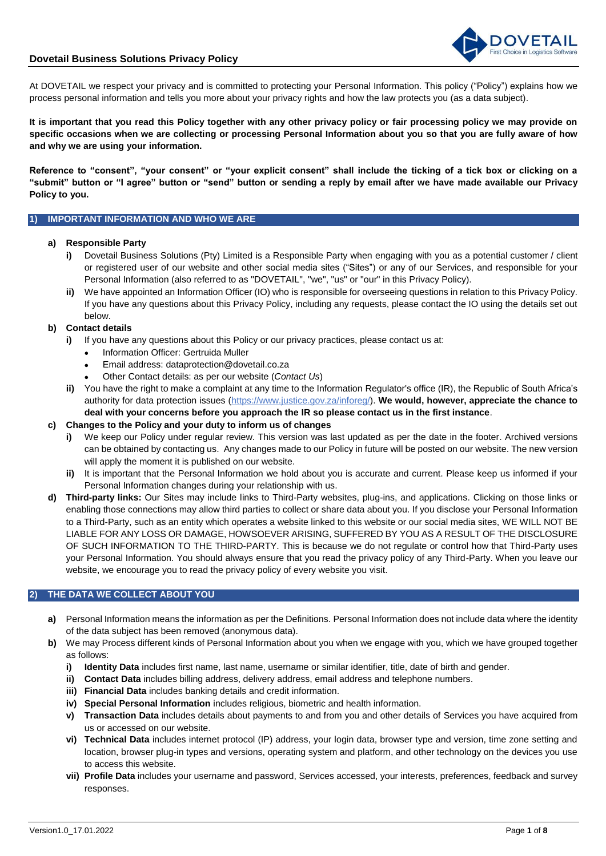# **Dovetail Business Solutions Privacy Policy**



At DOVETAIL we respect your privacy and is committed to protecting your Personal Information. This policy ("Policy") explains how we process personal information and tells you more about your privacy rights and how the law protects you (as a data subject).

**It is important that you read this Policy together with any other privacy policy or fair processing policy we may provide on specific occasions when we are collecting or processing Personal Information about you so that you are fully aware of how and why we are using your information.** 

**Reference to "consent", "your consent" or "your explicit consent" shall include the ticking of a tick box or clicking on a "submit" button or "I agree" button or "send" button or sending a reply by email after we have made available our Privacy Policy to you.**

## **1) IMPORTANT INFORMATION AND WHO WE ARE**

## **a) Responsible Party**

- **i)** Dovetail Business Solutions (Pty) Limited is a Responsible Party when engaging with you as a potential customer / client or registered user of our website and other social media sites ("Sites") or any of our Services, and responsible for your Personal Information (also referred to as "DOVETAIL", "we", "us" or "our" in this Privacy Policy).
- **ii)** We have appointed an Information Officer (IO) who is responsible for overseeing questions in relation to this Privacy Policy. If you have any questions about this Privacy Policy, including any requests, please contact the IO using the details set out below.

#### <span id="page-0-0"></span>**b) Contact details**

- **i)** If you have any questions about this Policy or our privacy practices, please contact us at:
	- Information Officer: Gertruida Muller
	- Email address: dataprotection@dovetail.co.za
	- Other Contact details: as per our website (*Contact Us*)
- **ii)** You have the right to make a complaint at any time to the Information Regulator's office (IR), the Republic of South Africa's authority for data protection issues [\(https://www.justice.gov.za/inforeg/\)](https://www.justice.gov.za/inforeg/index.html). **We would, however, appreciate the chance to deal with your concerns before you approach the IR so please contact us in the first instance**.

## **c) Changes to the Policy and your duty to inform us of changes**

- **i)** We keep our Policy under regular review. This version was last updated as per the date in the footer. Archived versions can be obtained by contacting us. Any changes made to our Policy in future will be posted on our website. The new version will apply the moment it is published on our website.
- **ii)** It is important that the Personal Information we hold about you is accurate and current. Please keep us informed if your Personal Information changes during your relationship with us.
- **d) Third-party links:** Our Sites may include links to Third-Party websites, plug-ins, and applications. Clicking on those links or enabling those connections may allow third parties to collect or share data about you. If you disclose your Personal Information to a Third-Party, such as an entity which operates a website linked to this website or our social media sites, WE WILL NOT BE LIABLE FOR ANY LOSS OR DAMAGE, HOWSOEVER ARISING, SUFFERED BY YOU AS A RESULT OF THE DISCLOSURE OF SUCH INFORMATION TO THE THIRD-PARTY. This is because we do not regulate or control how that Third-Party uses your Personal Information. You should always ensure that you read the privacy policy of any Third-Party. When you leave our website, we encourage you to read the privacy policy of every website you visit.

## **2) THE DATA WE COLLECT ABOUT YOU**

- **a)** Personal Information means the information as per the Definitions. Personal Information does not include data where the identity of the data subject has been removed (anonymous data).
- **b)** We may Process different kinds of Personal Information about you when we engage with you, which we have grouped together as follows:
	- **i) Identity Data** includes first name, last name, username or similar identifier, title, date of birth and gender.
	- **ii) Contact Data** includes billing address, delivery address, email address and telephone numbers.
	- **iii) Financial Data** includes banking details and credit information.
	- **iv) Special Personal Information** includes religious, biometric and health information.
	- **v) Transaction Data** includes details about payments to and from you and other details of Services you have acquired from us or accessed on our website.
	- **vi) Technical Data** includes internet protocol (IP) address, your login data, browser type and version, time zone setting and location, browser plug-in types and versions, operating system and platform, and other technology on the devices you use to access this website.
	- **vii) Profile Data** includes your username and password, Services accessed, your interests, preferences, feedback and survey responses.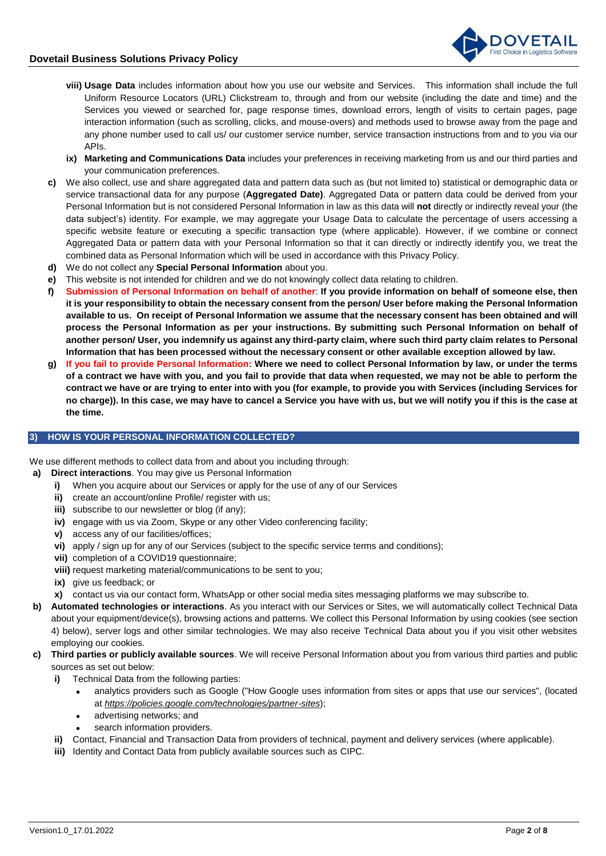

- **viii) Usage Data** includes information about how you use our website and Services. This information shall include the full Uniform Resource Locators (URL) Clickstream to, through and from our website (including the date and time) and the Services you viewed or searched for, page response times, download errors, length of visits to certain pages, page interaction information (such as scrolling, clicks, and mouse-overs) and methods used to browse away from the page and any phone number used to call us/ our customer service number, service transaction instructions from and to you via our APIs.
- **ix) Marketing and Communications Data** includes your preferences in receiving marketing from us and our third parties and your communication preferences.
- **c)** We also collect, use and share aggregated data and pattern data such as (but not limited to) statistical or demographic data or service transactional data for any purpose (**Aggregated Date)**. Aggregated Data or pattern data could be derived from your Personal Information but is not considered Personal Information in law as this data will **not** directly or indirectly reveal your (the data subject's) identity. For example, we may aggregate your Usage Data to calculate the percentage of users accessing a specific website feature or executing a specific transaction type (where applicable). However, if we combine or connect Aggregated Data or pattern data with your Personal Information so that it can directly or indirectly identify you, we treat the combined data as Personal Information which will be used in accordance with this Privacy Policy.
- **d)** We do not collect any **Special Personal Information** about you.
- **e)** This website is not intended for children and we do not knowingly collect data relating to children.
- **f) Submission of Personal Information on behalf of another**: **If you provide information on behalf of someone else, then it is your responsibility to obtain the necessary consent from the person/ User before making the Personal Information available to us. On receipt of Personal Information we assume that the necessary consent has been obtained and will process the Personal Information as per your instructions. By submitting such Personal Information on behalf of another person/ User, you indemnify us against any third-party claim, where such third party claim relates to Personal Information that has been processed without the necessary consent or other available exception allowed by law.**
- **g) If you fail to provide Personal Information: Where we need to collect Personal Information by law, or under the terms of a contract we have with you, and you fail to provide that data when requested, we may not be able to perform the contract we have or are trying to enter into with you (for example, to provide you with Services (including Services for no charge)). In this case, we may have to cancel a Service you have with us, but we will notify you if this is the case at the time.**

#### **3) HOW IS YOUR PERSONAL INFORMATION COLLECTED?**

We use different methods to collect data from and about you including through:

- **a) Direct interactions**. You may give us Personal Information
	- **i)** When you acquire about our Services or apply for the use of any of our Services
	- **ii)** create an account/online Profile/ register with us;
	- **iii)** subscribe to our newsletter or blog (if any);
	- **iv)** engage with us via Zoom, Skype or any other Video conferencing facility;
	- **v)** access any of our facilities/offices;
	- **vi)** apply / sign up for any of our Services (subject to the specific service terms and conditions);
	- **vii)** completion of a COVID19 questionnaire;
	- **viii)** request marketing material/communications to be sent to you;
	- **ix)** give us feedback; or
	- **x)** contact us via our contact form, WhatsApp or other social media sites messaging platforms we may subscribe to.
- **b) Automated technologies or interactions**. As you interact with our Services or Sites, we will automatically collect Technical Data about your equipment/device(s), browsing actions and patterns. We collect this Personal Information by using cookies (see section [4\) below\)](#page-2-0), server logs and other similar technologies. We may also receive Technical Data about you if you visit other websites employing our cookies.
- **c) Third parties or publicly available sources**. We will receive Personal Information about you from various third parties and public sources as set out below:
	- **i)** Technical Data from the following parties:
		- analytics providers such as Google ("How Google uses information from sites or apps that use our services", (located at *<https://policies.google.com/technologies/partner-sites>*);
		- advertising networks; and
		- search information providers.
	- **ii)** Contact, Financial and Transaction Data from providers of technical, payment and delivery services (where applicable).
	- **iii)** Identity and Contact Data from publicly available sources such as CIPC.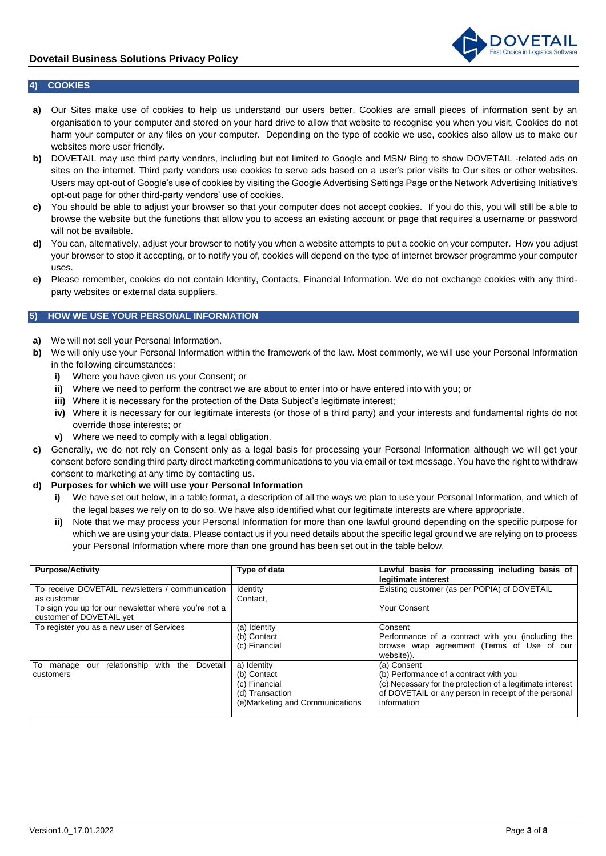

#### <span id="page-2-0"></span>**4) COOKIES**

- **a)** Our Sites make use of cookies to help us understand our users better. Cookies are small pieces of information sent by an organisation to your computer and stored on your hard drive to allow that website to recognise you when you visit. Cookies do not harm your computer or any files on your computer. Depending on the type of cookie we use, cookies also allow us to make our websites more user friendly.
- **b)** DOVETAIL may use third party vendors, including but not limited to Google and MSN/ Bing to show DOVETAIL -related ads on sites on the internet. Third party vendors use cookies to serve ads based on a user's prior visits to Our sites or other websites. Users may opt-out of Google's use of cookies by visiting the Google Advertising Settings Page or the Network Advertising Initiative's opt-out page for other third-party vendors' use of cookies.
- **c)** You should be able to adjust your browser so that your computer does not accept cookies. If you do this, you will still be able to browse the website but the functions that allow you to access an existing account or page that requires a username or password will not be available.
- **d)** You can, alternatively, adjust your browser to notify you when a website attempts to put a cookie on your computer. How you adjust your browser to stop it accepting, or to notify you of, cookies will depend on the type of internet browser programme your computer uses.
- **e)** Please remember, cookies do not contain Identity, Contacts, Financial Information. We do not exchange cookies with any thirdparty websites or external data suppliers.

# <span id="page-2-1"></span>**5) HOW WE USE YOUR PERSONAL INFORMATION**

- **a)** We will not sell your Personal Information.
- **b)** We will only use your Personal Information within the framework of the law. Most commonly, we will use your Personal Information in the following circumstances:
	- **i)** Where you have given us your Consent; or
	- **ii)** Where we need to perform the contract we are about to enter into or have entered into with you; or
	- **iii)** Where it is necessary for the protection of the Data Subject's legitimate interest;
	- **iv)** Where it is necessary for our legitimate interests (or those of a third party) and your interests and fundamental rights do not override those interests; or
	- **v)** Where we need to comply with a legal obligation.
- **c)** Generally, we do not rely on Consent only as a legal basis for processing your Personal Information although we will get your consent before sending third party direct marketing communications to you via email or text message. You have the right to withdraw consent to marketing at any time by contacting us.
- **d) Purposes for which we will use your Personal Information**
	- **i)** We have set out below, in a table format, a description of all the ways we plan to use your Personal Information, and which of the legal bases we rely on to do so. We have also identified what our legitimate interests are where appropriate.
	- **ii)** Note that we may process your Personal Information for more than one lawful ground depending on the specific purpose for which we are using your data. Please contact us if you need details about the specific legal ground we are relying on to process your Personal Information where more than one ground has been set out in the table below.

| <b>Purpose/Activity</b>                                                          | Type of data                                                                                       | Lawful basis for processing including basis of<br>legitimate interest                                                                                                                     |
|----------------------------------------------------------------------------------|----------------------------------------------------------------------------------------------------|-------------------------------------------------------------------------------------------------------------------------------------------------------------------------------------------|
| To receive DOVETAIL newsletters / communication<br>as customer                   | Identity<br>Contact,                                                                               | Existing customer (as per POPIA) of DOVETAIL                                                                                                                                              |
| To sign you up for our newsletter where you're not a<br>customer of DOVETAIL yet |                                                                                                    | Your Consent                                                                                                                                                                              |
| To register you as a new user of Services                                        | (a) Identity<br>(b) Contact<br>(c) Financial                                                       | Consent<br>Performance of a contract with you (including the<br>browse wrap agreement (Terms of Use of our<br>website)).                                                                  |
| To manage<br>with the<br>relationship<br>Dovetail<br>our<br>customers            | a) Identity<br>(b) Contact<br>(c) Financial<br>(d) Transaction<br>(e) Marketing and Communications | (a) Consent<br>(b) Performance of a contract with you<br>(c) Necessary for the protection of a legitimate interest<br>of DOVETAIL or any person in receipt of the personal<br>information |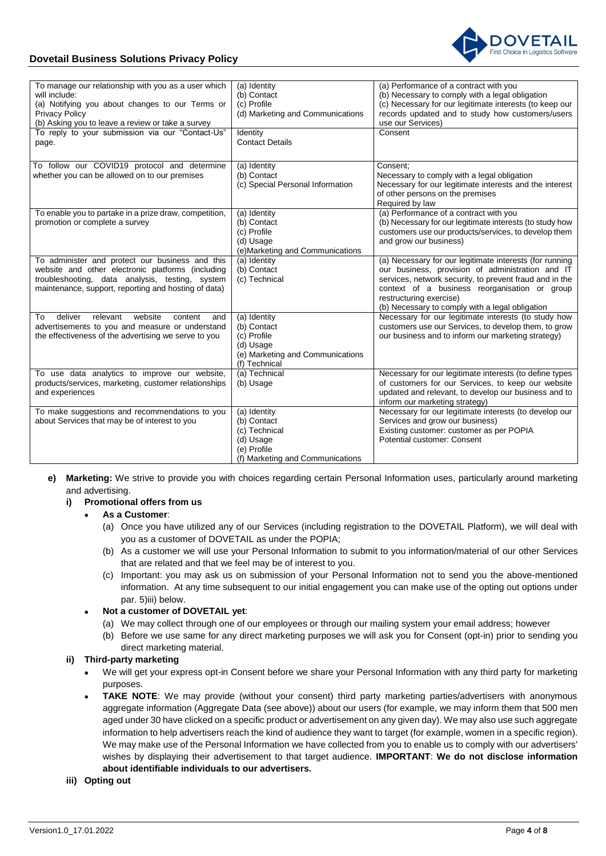



| To manage our relationship with you as a user which<br>will include:<br>(a) Notifying you about changes to our Terms or<br><b>Privacy Policy</b>                                                                | (a) Identity<br>(b) Contact<br>(c) Profile<br>(d) Marketing and Communications                               | (a) Performance of a contract with you<br>(b) Necessary to comply with a legal obligation<br>(c) Necessary for our legitimate interests (to keep our<br>records updated and to study how customers/users                                                                                              |
|-----------------------------------------------------------------------------------------------------------------------------------------------------------------------------------------------------------------|--------------------------------------------------------------------------------------------------------------|-------------------------------------------------------------------------------------------------------------------------------------------------------------------------------------------------------------------------------------------------------------------------------------------------------|
| (b) Asking you to leave a review or take a survey                                                                                                                                                               |                                                                                                              | use our Services)                                                                                                                                                                                                                                                                                     |
| To reply to your submission via our "Contact-Us"<br>page.                                                                                                                                                       | Identity<br><b>Contact Details</b>                                                                           | Consent                                                                                                                                                                                                                                                                                               |
| To follow our COVID19 protocol and determine<br>whether you can be allowed on to our premises                                                                                                                   | (a) Identity<br>(b) Contact<br>(c) Special Personal Information                                              | Consent:<br>Necessary to comply with a legal obligation<br>Necessary for our legitimate interests and the interest<br>of other persons on the premises<br>Required by law                                                                                                                             |
| To enable you to partake in a prize draw, competition,<br>promotion or complete a survey                                                                                                                        | (a) Identity<br>(b) Contact<br>(c) Profile<br>(d) Usage<br>(e) Marketing and Communications                  | (a) Performance of a contract with you<br>(b) Necessary for our legitimate interests (to study how<br>customers use our products/services, to develop them<br>and grow our business)                                                                                                                  |
| To administer and protect our business and this<br>website and other electronic platforms (including<br>troubleshooting, data analysis, testing, system<br>maintenance, support, reporting and hosting of data) | (a) Identity<br>(b) Contact<br>(c) Technical                                                                 | (a) Necessary for our legitimate interests (for running<br>our business, provision of administration and IT<br>services, network security, to prevent fraud and in the<br>context of a business reorganisation or group<br>restructuring exercise)<br>(b) Necessary to comply with a legal obligation |
| deliver<br>relevant<br>website<br>content<br>To<br>and<br>advertisements to you and measure or understand<br>the effectiveness of the advertising we serve to you                                               | (a) Identity<br>(b) Contact<br>(c) Profile<br>(d) Usage<br>(e) Marketing and Communications<br>(f) Technical | Necessary for our legitimate interests (to study how<br>customers use our Services, to develop them, to grow<br>our business and to inform our marketing strategy)                                                                                                                                    |
| To use data analytics to improve our website,<br>products/services, marketing, customer relationships<br>and experiences                                                                                        | (a) Technical<br>(b) Usage                                                                                   | Necessary for our legitimate interests (to define types<br>of customers for our Services, to keep our website<br>updated and relevant, to develop our business and to<br>inform our marketing strategy)                                                                                               |
| To make suggestions and recommendations to you<br>about Services that may be of interest to you                                                                                                                 | (a) Identity<br>(b) Contact<br>(c) Technical<br>(d) Usage<br>(e) Profile<br>(f) Marketing and Communications | Necessary for our legitimate interests (to develop our<br>Services and grow our business)<br>Existing customer: customer as per POPIA<br>Potential customer: Consent                                                                                                                                  |

**e) Marketing:** We strive to provide you with choices regarding certain Personal Information uses, particularly around marketing and advertising.

# **i) Promotional offers from us**

- **As a Customer**:
	- (a) Once you have utilized any of our Services (including registration to the DOVETAIL Platform), we will deal with you as a customer of DOVETAIL as under the POPIA;
	- (b) As a customer we will use your Personal Information to submit to you information/material of our other Services that are related and that we feel may be of interest to you.
	- (c) Important: you may ask us on submission of your Personal Information not to send you the above-mentioned information. At any time subsequent to our initial engagement you can make use of the opting out options under par. [5\)iii\) below.](#page-2-1)

## **Not a customer of DOVETAIL yet**:

- (a) We may collect through one of our employees or through our mailing system your email address; however
- (b) Before we use same for any direct marketing purposes we will ask you for Consent (opt-in) prior to sending you direct marketing material.

# **ii) Third-party marketing**

- We will get your express opt-in Consent before we share your Personal Information with any third party for marketing purposes.
- **TAKE NOTE:** We may provide (without your consent) third party marketing parties/advertisers with anonymous aggregate information (Aggregate Data (see above)) about our users (for example, we may inform them that 500 men aged under 30 have clicked on a specific product or advertisement on any given day). We may also use such aggregate information to help advertisers reach the kind of audience they want to target (for example, women in a specific region). We may make use of the Personal Information we have collected from you to enable us to comply with our advertisers' wishes by displaying their advertisement to that target audience. **IMPORTANT**: **We do not disclose information about identifiable individuals to our advertisers.**

## **iii) Opting out**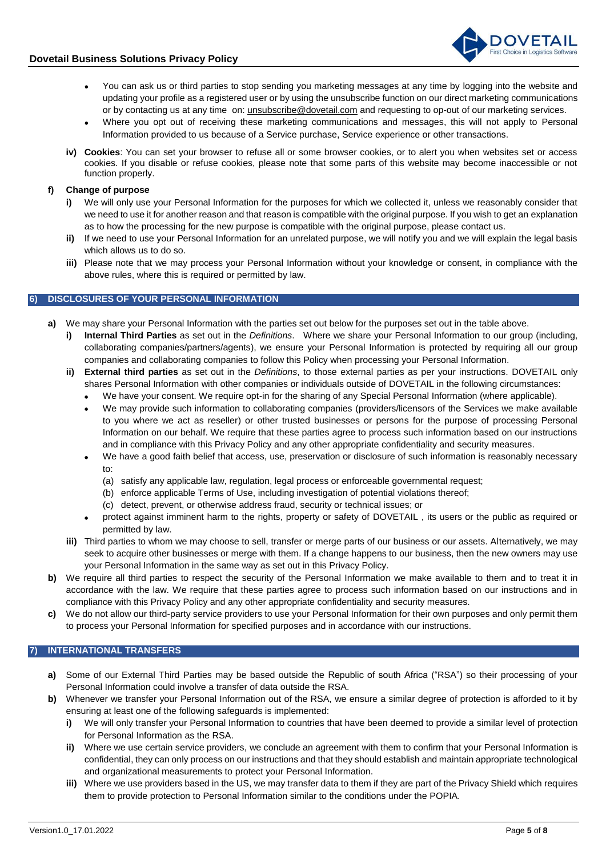

- You can ask us or third parties to stop sending you marketing messages at any time by logging into the website and updating your profile as a registered user or by using the unsubscribe function on our direct marketing communications or by contacting us at any time on: [unsubscribe@dovetail.com](mailto:unsubscribe@dovetail.com) and requesting to op-out of our marketing services.
- Where you opt out of receiving these marketing communications and messages, this will not apply to Personal Information provided to us because of a Service purchase, Service experience or other transactions.
- **iv) Cookies**: You can set your browser to refuse all or some browser cookies, or to alert you when websites set or access cookies. If you disable or refuse cookies, please note that some parts of this website may become inaccessible or not function properly.

## **f) Change of purpose**

- **i)** We will only use your Personal Information for the purposes for which we collected it, unless we reasonably consider that we need to use it for another reason and that reason is compatible with the original purpose. If you wish to get an explanation as to how the processing for the new purpose is compatible with the original purpose, please contact us.
- **ii)** If we need to use your Personal Information for an unrelated purpose, we will notify you and we will explain the legal basis which allows us to do so.
- **iii)** Please note that we may process your Personal Information without your knowledge or consent, in compliance with the above rules, where this is required or permitted by law.

## **6) DISCLOSURES OF YOUR PERSONAL INFORMATION**

- **a)** We may share your Personal Information with the parties set out below for the purposes set out in the table above.
	- **i) Internal Third Parties** as set out in the *Definitions*. Where we share your Personal Information to our group (including, collaborating companies/partners/agents), we ensure your Personal Information is protected by requiring all our group companies and collaborating companies to follow this Policy when processing your Personal Information.
	- **ii) External third parties** as set out in the *Definitions*, to those external parties as per your instructions. DOVETAIL only shares Personal Information with other companies or individuals outside of DOVETAIL in the following circumstances:
		- We have your consent. We require opt-in for the sharing of any Special Personal Information (where applicable).
		- We may provide such information to collaborating companies (providers/licensors of the Services we make available to you where we act as reseller) or other trusted businesses or persons for the purpose of processing Personal Information on our behalf. We require that these parties agree to process such information based on our instructions and in compliance with this Privacy Policy and any other appropriate confidentiality and security measures.
		- We have a good faith belief that access, use, preservation or disclosure of such information is reasonably necessary to:
			- (a) satisfy any applicable law, regulation, legal process or enforceable governmental request;
			- (b) enforce applicable Terms of Use, including investigation of potential violations thereof;
			- (c) detect, prevent, or otherwise address fraud, security or technical issues; or
		- protect against imminent harm to the rights, property or safety of DOVETAIL , its users or the public as required or permitted by law.
	- **iii)** Third parties to whom we may choose to sell, transfer or merge parts of our business or our assets. Alternatively, we may seek to acquire other businesses or merge with them. If a change happens to our business, then the new owners may use your Personal Information in the same way as set out in this Privacy Policy.
- **b)** We require all third parties to respect the security of the Personal Information we make available to them and to treat it in accordance with the law. We require that these parties agree to process such information based on our instructions and in compliance with this Privacy Policy and any other appropriate confidentiality and security measures.
- **c)** We do not allow our third-party service providers to use your Personal Information for their own purposes and only permit them to process your Personal Information for specified purposes and in accordance with our instructions.

## **7) INTERNATIONAL TRANSFERS**

- **a)** Some of our External Third Parties may be based outside the Republic of south Africa ("RSA") so their processing of your Personal Information could involve a transfer of data outside the RSA.
- **b)** Whenever we transfer your Personal Information out of the RSA, we ensure a similar degree of protection is afforded to it by ensuring at least one of the following safeguards is implemented:
	- **i)** We will only transfer your Personal Information to countries that have been deemed to provide a similar level of protection for Personal Information as the RSA.
	- **ii)** Where we use certain service providers, we conclude an agreement with them to confirm that your Personal Information is confidential, they can only process on our instructions and that they should establish and maintain appropriate technological and organizational measurements to protect your Personal Information.
	- **iii)** Where we use providers based in the US, we may transfer data to them if they are part of the Privacy Shield which requires them to provide protection to Personal Information similar to the conditions under the POPIA.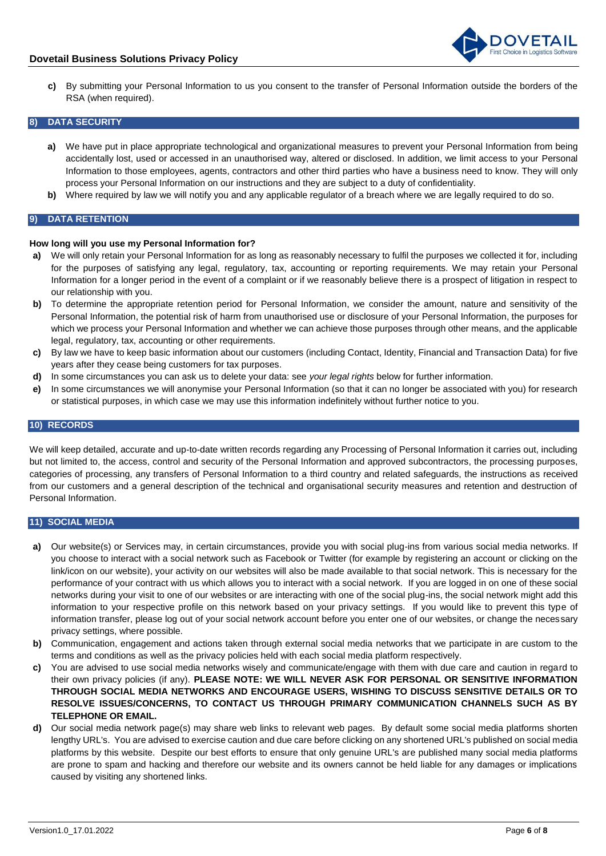

**c)** By submitting your Personal Information to us you consent to the transfer of Personal Information outside the borders of the RSA (when required).

#### **8) DATA SECURITY**

- **a)** We have put in place appropriate technological and organizational measures to prevent your Personal Information from being accidentally lost, used or accessed in an unauthorised way, altered or disclosed. In addition, we limit access to your Personal Information to those employees, agents, contractors and other third parties who have a business need to know. They will only process your Personal Information on our instructions and they are subject to a duty of confidentiality.
- **b)** Where required by law we will notify you and any applicable regulator of a breach where we are legally required to do so.

## **9) DATA RETENTION**

#### **How long will you use my Personal Information for?**

- **a)** We will only retain your Personal Information for as long as reasonably necessary to fulfil the purposes we collected it for, including for the purposes of satisfying any legal, regulatory, tax, accounting or reporting requirements. We may retain your Personal Information for a longer period in the event of a complaint or if we reasonably believe there is a prospect of litigation in respect to our relationship with you.
- **b)** To determine the appropriate retention period for Personal Information, we consider the amount, nature and sensitivity of the Personal Information, the potential risk of harm from unauthorised use or disclosure of your Personal Information, the purposes for which we process your Personal Information and whether we can achieve those purposes through other means, and the applicable legal, regulatory, tax, accounting or other requirements.
- **c)** By law we have to keep basic information about our customers (including Contact, Identity, Financial and Transaction Data) for five years after they cease being customers for tax purposes.
- **d)** In some circumstances you can ask us to delete your data: see *your legal rights* below for further information.
- **e)** In some circumstances we will anonymise your Personal Information (so that it can no longer be associated with you) for research or statistical purposes, in which case we may use this information indefinitely without further notice to you.

#### **10) RECORDS**

We will keep detailed, accurate and up-to-date written records regarding any Processing of Personal Information it carries out, including but not limited to, the access, control and security of the Personal Information and approved subcontractors, the processing purposes, categories of processing, any transfers of Personal Information to a third country and related safeguards, the instructions as received from our customers and a general description of the technical and organisational security measures and retention and destruction of Personal Information.

#### **11) SOCIAL MEDIA**

- **a)** Our website(s) or Services may, in certain circumstances, provide you with social plug-ins from various social media networks. If you choose to interact with a social network such as Facebook or Twitter (for example by registering an account or clicking on the link/icon on our website), your activity on our websites will also be made available to that social network. This is necessary for the performance of your contract with us which allows you to interact with a social network. If you are logged in on one of these social networks during your visit to one of our websites or are interacting with one of the social plug-ins, the social network might add this information to your respective profile on this network based on your privacy settings. If you would like to prevent this type of information transfer, please log out of your social network account before you enter one of our websites, or change the necessary privacy settings, where possible.
- **b)** Communication, engagement and actions taken through external social media networks that we participate in are custom to the terms and conditions as well as the privacy policies held with each social media platform respectively.
- **c)** You are advised to use social media networks wisely and communicate/engage with them with due care and caution in regard to their own privacy policies (if any). **PLEASE NOTE: WE WILL NEVER ASK FOR PERSONAL OR SENSITIVE INFORMATION THROUGH SOCIAL MEDIA NETWORKS AND ENCOURAGE USERS, WISHING TO DISCUSS SENSITIVE DETAILS OR TO RESOLVE ISSUES/CONCERNS, TO CONTACT US THROUGH PRIMARY COMMUNICATION CHANNELS SUCH AS BY TELEPHONE OR EMAIL.**
- **d)** Our social media network page(s) may share web links to relevant web pages. By default some social media platforms shorten lengthy URL's. You are advised to exercise caution and due care before clicking on any shortened URL's published on social media platforms by this website. Despite our best efforts to ensure that only genuine URL's are published many social media platforms are prone to spam and hacking and therefore our website and its owners cannot be held liable for any damages or implications caused by visiting any shortened links.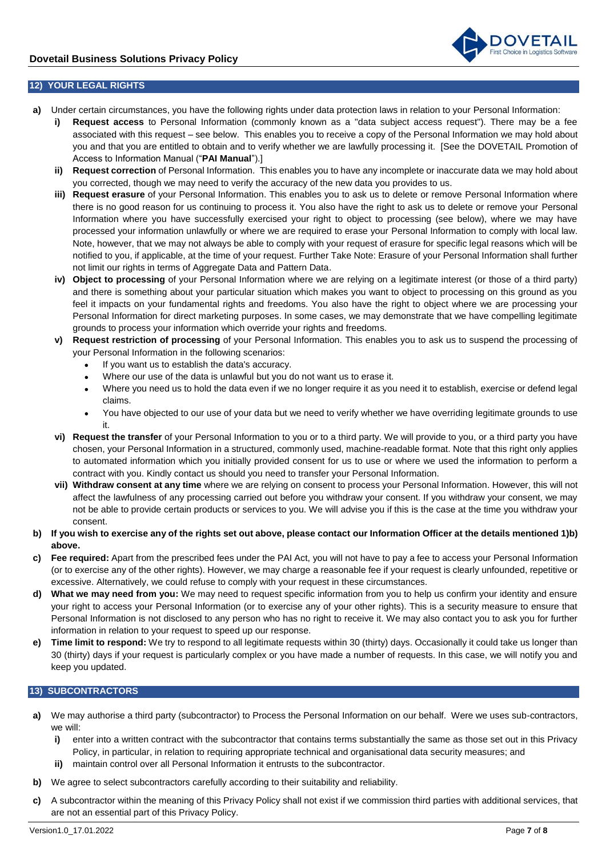

# **12) YOUR LEGAL RIGHTS**

- **a)** Under certain circumstances, you have the following rights under data protection laws in relation to your Personal Information:
	- **i) Request access** to Personal Information (commonly known as a "data subject access request"). There may be a fee associated with this request – see below. This enables you to receive a copy of the Personal Information we may hold about you and that you are entitled to obtain and to verify whether we are lawfully processing it. [See the DOVETAIL Promotion of Access to Information Manual ("**PAI Manual**").]
	- **ii) Request correction** of Personal Information. This enables you to have any incomplete or inaccurate data we may hold about you corrected, though we may need to verify the accuracy of the new data you provides to us.
	- **iii) Request erasure** of your Personal Information. This enables you to ask us to delete or remove Personal Information where there is no good reason for us continuing to process it. You also have the right to ask us to delete or remove your Personal Information where you have successfully exercised your right to object to processing (see below), where we may have processed your information unlawfully or where we are required to erase your Personal Information to comply with local law. Note, however, that we may not always be able to comply with your request of erasure for specific legal reasons which will be notified to you, if applicable, at the time of your request. Further Take Note: Erasure of your Personal Information shall further not limit our rights in terms of Aggregate Data and Pattern Data.
	- **iv) Object to processing** of your Personal Information where we are relying on a legitimate interest (or those of a third party) and there is something about your particular situation which makes you want to object to processing on this ground as you feel it impacts on your fundamental rights and freedoms. You also have the right to object where we are processing your Personal Information for direct marketing purposes. In some cases, we may demonstrate that we have compelling legitimate grounds to process your information which override your rights and freedoms.
	- **v) Request restriction of processing** of your Personal Information. This enables you to ask us to suspend the processing of your Personal Information in the following scenarios:
		- If you want us to establish the data's accuracy.
		- Where our use of the data is unlawful but you do not want us to erase it.
		- Where you need us to hold the data even if we no longer require it as you need it to establish, exercise or defend legal claims.
		- You have objected to our use of your data but we need to verify whether we have overriding legitimate grounds to use it.
	- **vi) Request the transfer** of your Personal Information to you or to a third party. We will provide to you, or a third party you have chosen, your Personal Information in a structured, commonly used, machine-readable format. Note that this right only applies to automated information which you initially provided consent for us to use or where we used the information to perform a contract with you. Kindly contact us should you need to transfer your Personal Information.
	- **vii) Withdraw consent at any time** where we are relying on consent to process your Personal Information. However, this will not affect the lawfulness of any processing carried out before you withdraw your consent. If you withdraw your consent, we may not be able to provide certain products or services to you. We will advise you if this is the case at the time you withdraw your consent.
- **b) If you wish to exercise any of the rights set out above, please contact our Information Officer at the details mentioned [1\)b\)](#page-0-0)  [above.](#page-0-0)**
- **c) Fee required:** Apart from the prescribed fees under the PAI Act, you will not have to pay a fee to access your Personal Information (or to exercise any of the other rights). However, we may charge a reasonable fee if your request is clearly unfounded, repetitive or excessive. Alternatively, we could refuse to comply with your request in these circumstances.
- **d) What we may need from you:** We may need to request specific information from you to help us confirm your identity and ensure your right to access your Personal Information (or to exercise any of your other rights). This is a security measure to ensure that Personal Information is not disclosed to any person who has no right to receive it. We may also contact you to ask you for further information in relation to your request to speed up our response.
- **e) Time limit to respond:** We try to respond to all legitimate requests within 30 (thirty) days. Occasionally it could take us longer than 30 (thirty) days if your request is particularly complex or you have made a number of requests. In this case, we will notify you and keep you updated.

## **13) SUBCONTRACTORS**

- **a)** We may authorise a third party (subcontractor) to Process the Personal Information on our behalf. Were we uses sub-contractors, we will:
	- **i)** enter into a written contract with the subcontractor that contains terms substantially the same as those set out in this Privacy Policy, in particular, in relation to requiring appropriate technical and organisational data security measures; and
	- **ii)** maintain control over all Personal Information it entrusts to the subcontractor.
- **b)** We agree to select subcontractors carefully according to their suitability and reliability.
- **c)** A subcontractor within the meaning of this Privacy Policy shall not exist if we commission third parties with additional services, that are not an essential part of this Privacy Policy.